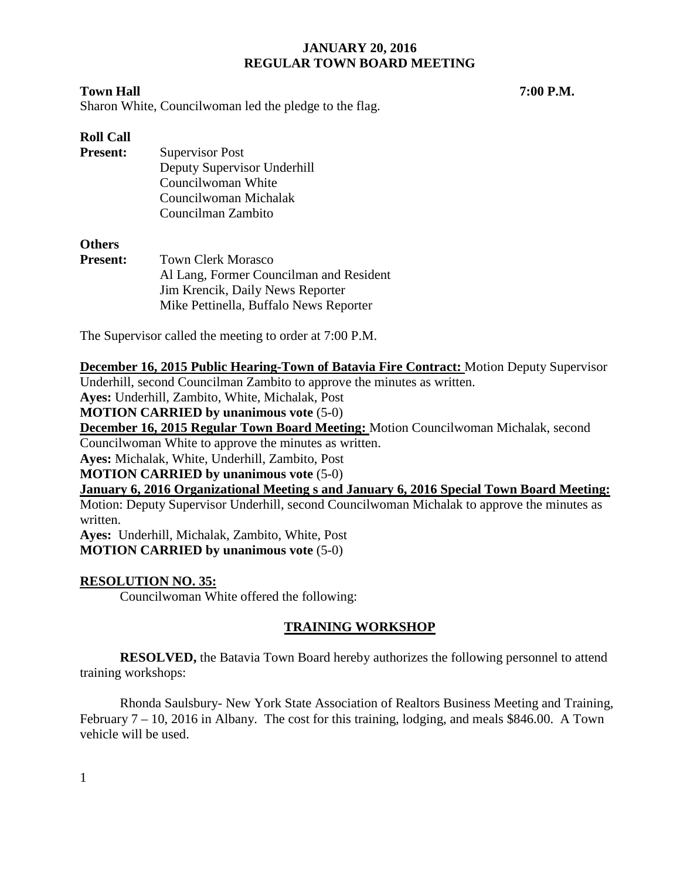## **Town Hall 7:00 P.M.**

Sharon White, Councilwoman led the pledge to the flag.

# **Roll Call**

| <b>Present:</b> | Supervisor Post             |
|-----------------|-----------------------------|
|                 | Deputy Supervisor Underhill |
|                 | Councilwoman White          |
|                 | Councilwoman Michalak       |
|                 | Councilman Zambito          |

## **Others**

| <b>Present:</b> | <b>Town Clerk Morasco</b>               |
|-----------------|-----------------------------------------|
|                 | Al Lang, Former Councilman and Resident |
|                 | Jim Krencik, Daily News Reporter        |
|                 | Mike Pettinella, Buffalo News Reporter  |

The Supervisor called the meeting to order at 7:00 P.M.

# **December 16, 2015 Public Hearing-Town of Batavia Fire Contract:** Motion Deputy Supervisor

Underhill, second Councilman Zambito to approve the minutes as written.

**Ayes:** Underhill, Zambito, White, Michalak, Post

## **MOTION CARRIED by unanimous vote** (5-0)

**December 16, 2015 Regular Town Board Meeting:** Motion Councilwoman Michalak, second

Councilwoman White to approve the minutes as written.

**Ayes:** Michalak, White, Underhill, Zambito, Post

**MOTION CARRIED by unanimous vote** (5-0)

**January 6, 2016 Organizational Meeting s and January 6, 2016 Special Town Board Meeting:** 

Motion: Deputy Supervisor Underhill, second Councilwoman Michalak to approve the minutes as written.

**Ayes:** Underhill, Michalak, Zambito, White, Post **MOTION CARRIED by unanimous vote** (5-0)

# **RESOLUTION NO. 35:**

Councilwoman White offered the following:

# **TRAINING WORKSHOP**

**RESOLVED,** the Batavia Town Board hereby authorizes the following personnel to attend training workshops:

Rhonda Saulsbury- New York State Association of Realtors Business Meeting and Training, February 7 – 10, 2016 in Albany. The cost for this training, lodging, and meals \$846.00. A Town vehicle will be used.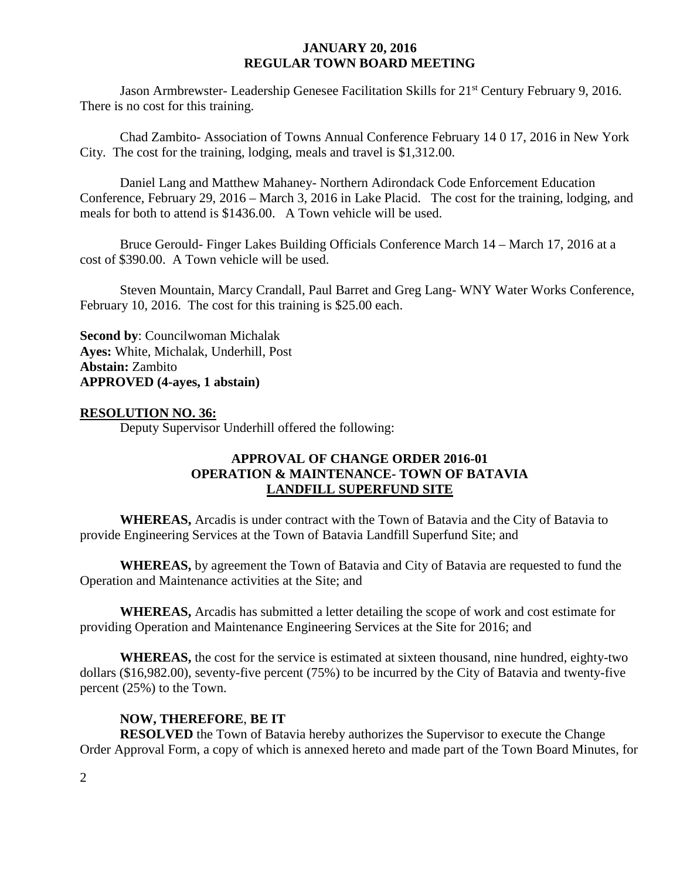Jason Armbrewster- Leadership Genesee Facilitation Skills for 21<sup>st</sup> Century February 9, 2016. There is no cost for this training.

Chad Zambito- Association of Towns Annual Conference February 14 0 17, 2016 in New York City. The cost for the training, lodging, meals and travel is \$1,312.00.

Daniel Lang and Matthew Mahaney- Northern Adirondack Code Enforcement Education Conference, February 29, 2016 – March 3, 2016 in Lake Placid. The cost for the training, lodging, and meals for both to attend is \$1436.00. A Town vehicle will be used.

Bruce Gerould- Finger Lakes Building Officials Conference March 14 – March 17, 2016 at a cost of \$390.00. A Town vehicle will be used.

Steven Mountain, Marcy Crandall, Paul Barret and Greg Lang- WNY Water Works Conference, February 10, 2016. The cost for this training is \$25.00 each.

**Second by**: Councilwoman Michalak **Ayes:** White, Michalak, Underhill, Post **Abstain:** Zambito **APPROVED (4-ayes, 1 abstain)**

## **RESOLUTION NO. 36:**

Deputy Supervisor Underhill offered the following:

# **APPROVAL OF CHANGE ORDER 2016-01 OPERATION & MAINTENANCE- TOWN OF BATAVIA LANDFILL SUPERFUND SITE**

**WHEREAS,** Arcadis is under contract with the Town of Batavia and the City of Batavia to provide Engineering Services at the Town of Batavia Landfill Superfund Site; and

**WHEREAS,** by agreement the Town of Batavia and City of Batavia are requested to fund the Operation and Maintenance activities at the Site; and

**WHEREAS,** Arcadis has submitted a letter detailing the scope of work and cost estimate for providing Operation and Maintenance Engineering Services at the Site for 2016; and

**WHEREAS,** the cost for the service is estimated at sixteen thousand, nine hundred, eighty-two dollars (\$16,982.00), seventy-five percent (75%) to be incurred by the City of Batavia and twenty-five percent (25%) to the Town.

## **NOW, THEREFORE**, **BE IT**

**RESOLVED** the Town of Batavia hereby authorizes the Supervisor to execute the Change Order Approval Form, a copy of which is annexed hereto and made part of the Town Board Minutes, for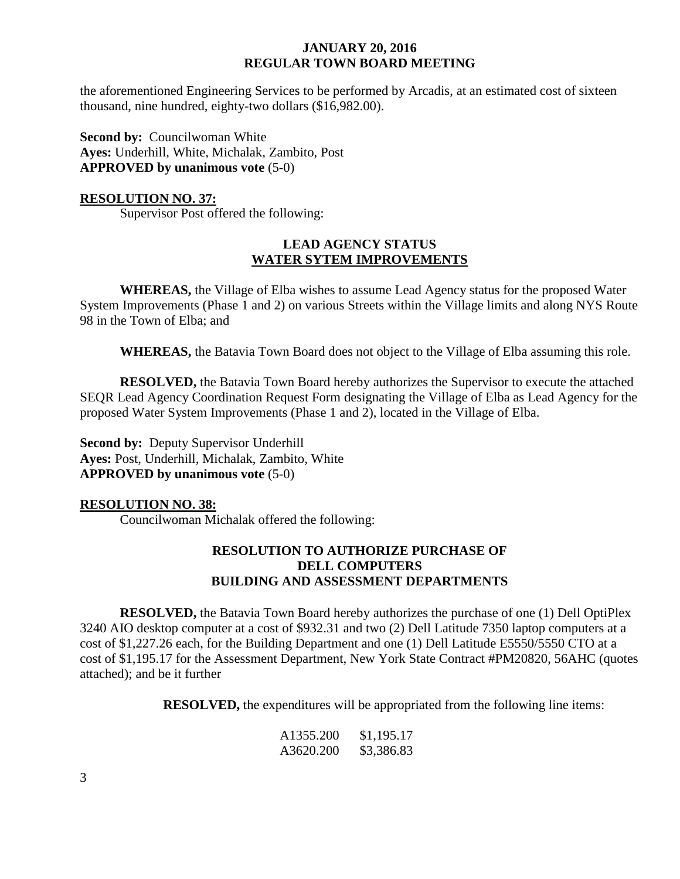the aforementioned Engineering Services to be performed by Arcadis, at an estimated cost of sixteen thousand, nine hundred, eighty-two dollars (\$16,982.00).

**Second by: Councilwoman White Ayes:** Underhill, White, Michalak, Zambito, Post **APPROVED by unanimous vote** (5-0)

#### **RESOLUTION NO. 37:**

Supervisor Post offered the following:

# **LEAD AGENCY STATUS WATER SYTEM IMPROVEMENTS**

**WHEREAS,** the Village of Elba wishes to assume Lead Agency status for the proposed Water System Improvements (Phase 1 and 2) on various Streets within the Village limits and along NYS Route 98 in the Town of Elba; and

**WHEREAS,** the Batavia Town Board does not object to the Village of Elba assuming this role.

**RESOLVED,** the Batavia Town Board hereby authorizes the Supervisor to execute the attached SEQR Lead Agency Coordination Request Form designating the Village of Elba as Lead Agency for the proposed Water System Improvements (Phase 1 and 2), located in the Village of Elba.

**Second by: Deputy Supervisor Underhill Ayes:** Post, Underhill, Michalak, Zambito, White **APPROVED by unanimous vote** (5-0)

#### **RESOLUTION NO. 38:**

Councilwoman Michalak offered the following:

## **RESOLUTION TO AUTHORIZE PURCHASE OF DELL COMPUTERS BUILDING AND ASSESSMENT DEPARTMENTS**

**RESOLVED,** the Batavia Town Board hereby authorizes the purchase of one (1) Dell OptiPlex 3240 AIO desktop computer at a cost of \$932.31 and two (2) Dell Latitude 7350 laptop computers at a cost of \$1,227.26 each, for the Building Department and one (1) Dell Latitude E5550/5550 CTO at a cost of \$1,195.17 for the Assessment Department, New York State Contract #PM20820, 56AHC (quotes attached); and be it further

**RESOLVED,** the expenditures will be appropriated from the following line items:

| A1355.200 | \$1,195.17 |
|-----------|------------|
| A3620.200 | \$3,386.83 |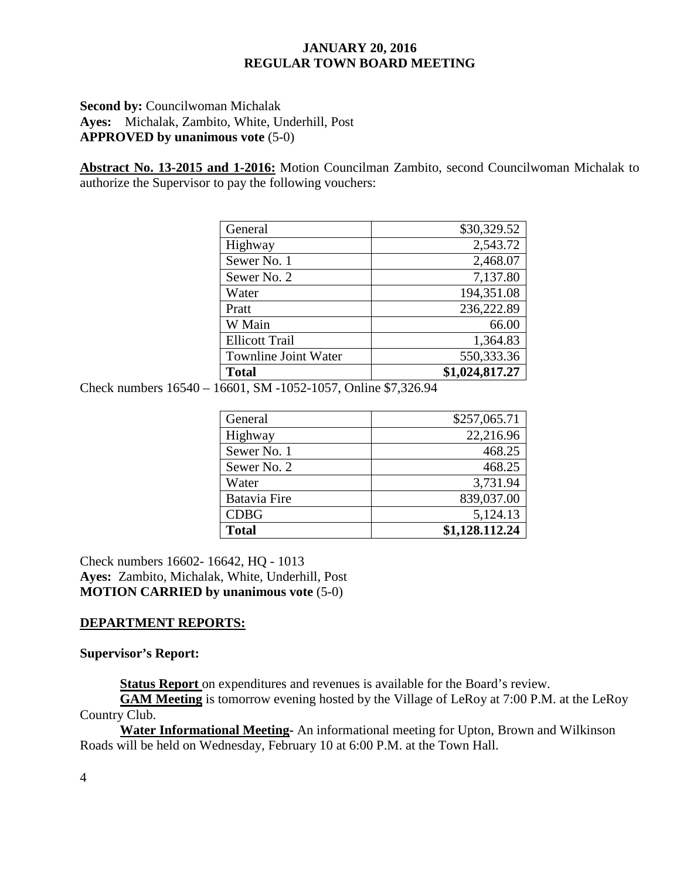## **Second by: Councilwoman Michalak Ayes:** Michalak, Zambito, White, Underhill, Post **APPROVED by unanimous vote** (5-0)

**Abstract No. 13-2015 and 1-2016:** Motion Councilman Zambito, second Councilwoman Michalak to authorize the Supervisor to pay the following vouchers:

| General                     | \$30,329.52    |
|-----------------------------|----------------|
| Highway                     | 2,543.72       |
| Sewer No. 1                 | 2,468.07       |
| Sewer No. 2                 | 7,137.80       |
| Water                       | 194,351.08     |
| Pratt                       | 236,222.89     |
| W Main                      | 66.00          |
| <b>Ellicott Trail</b>       | 1,364.83       |
| <b>Townline Joint Water</b> | 550,333.36     |
| <b>Total</b>                | \$1,024,817.27 |

Check numbers 16540 – 16601, SM -1052-1057, Online \$7,326.94

| General             | \$257,065.71   |
|---------------------|----------------|
| Highway             | 22,216.96      |
| Sewer No. 1         | 468.25         |
| Sewer No. 2         | 468.25         |
| Water               | 3,731.94       |
| <b>Batavia Fire</b> | 839,037.00     |
| <b>CDBG</b>         | 5,124.13       |
| <b>Total</b>        | \$1,128.112.24 |

Check numbers 16602- 16642, HQ - 1013 **Ayes:** Zambito, Michalak, White, Underhill, Post **MOTION CARRIED by unanimous vote** (5-0)

# **DEPARTMENT REPORTS:**

## **Supervisor's Report:**

**Status Report** on expenditures and revenues is available for the Board's review.

**GAM Meeting** is tomorrow evening hosted by the Village of LeRoy at 7:00 P.M. at the LeRoy Country Club.

**Water Informational Meeting-** An informational meeting for Upton, Brown and Wilkinson Roads will be held on Wednesday, February 10 at 6:00 P.M. at the Town Hall.